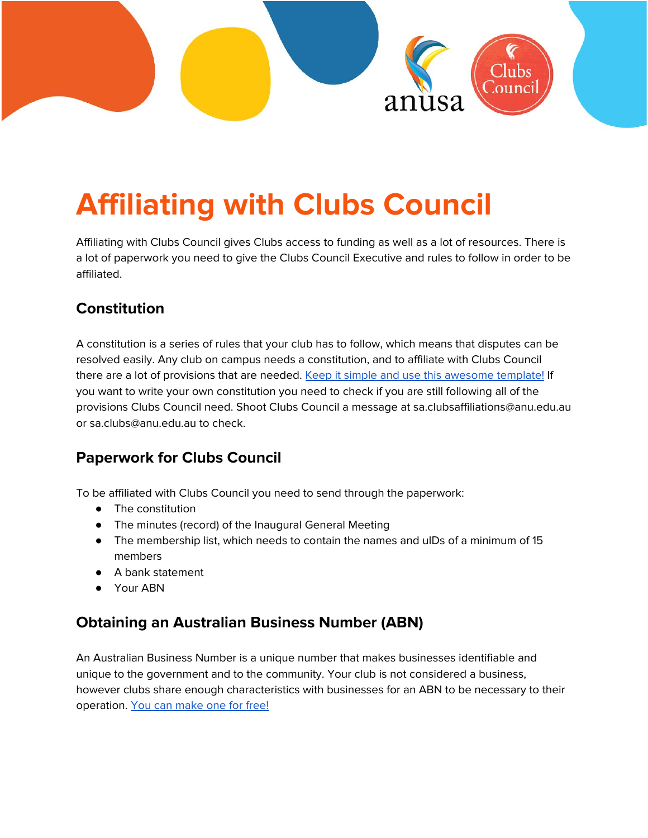

# **Affiliating with Clubs Council**

Affiliating with Clubs Council gives Clubs access to funding as well as a lot of resources. There is a lot of paperwork you need to give the Clubs Council Executive and rules to follow in order to be affiliated.

# **Constitution**

A constitution is a series of rules that your club has to follow, which means that disputes can be resolved easily. Any club on campus needs a constitution, and to affiliate with Clubs Council there are a lot of provisions that are needed. Keep it simple and use this [awesome](https://drive.google.com/file/d/1lo0BwFpzVh22YXMic35Vcpn3dUIoqvjW/view) template! If you want to write your own constitution you need to check if you are still following all of the provisions Clubs Council need. Shoot Clubs Council a message at sa.clubsaffiliations@anu.edu.au or sa.clubs@anu.edu.au to check.

# **Paperwork for Clubs Council**

To be affiliated with Clubs Council you need to send through the paperwork:

- The constitution
- The minutes (record) of the Inaugural General Meeting
- The membership list, which needs to contain the names and uIDs of a minimum of 15 members
- A bank statement
- Your ABN

# **Obtaining an Australian Business Number (ABN)**

An Australian Business Number is a unique number that makes businesses identifiable and unique to the government and to the community. Your club is not considered a business, however clubs share enough characteristics with businesses for an ABN to be necessary to their operation. You can [make](https://www.business.gov.au/registrations/register-for-an-australian-business-number-abn) one for free!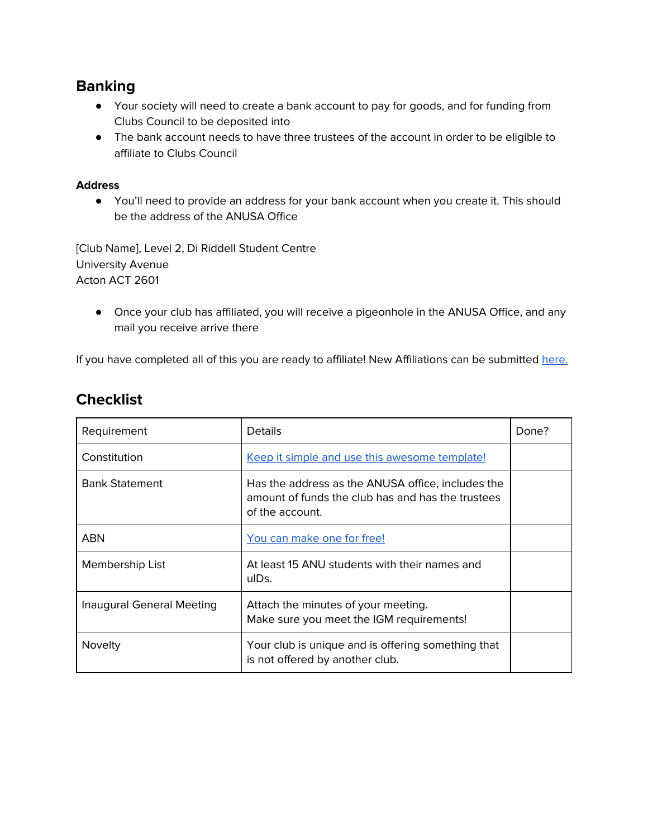### **Banking**

- Your society will need to create a bank account to pay for goods, and for funding from Clubs Council to be deposited into
- The bank account needs to have three trustees of the account in order to be eligible to affiliate to Clubs Council

#### **Address**

● You'll need to provide an address for your bank account when you create it. This should be the address of the ANUSA Office

[Club Name], Level 2, Di Riddell Student Centre University Avenue Acton ACT 2601

● Once your club has affiliated, you will receive a pigeonhole in the ANUSA Office, and any mail you receive arrive there

If you have completed all of this you are ready to affiliate! New Affiliations can be submitted [here.](https://form.jotform.co/200271948103852)

| Requirement               | <b>Details</b>                                                                                                            | Done? |
|---------------------------|---------------------------------------------------------------------------------------------------------------------------|-------|
| Constitution              | Keep it simple and use this awesome template!                                                                             |       |
| <b>Bank Statement</b>     | Has the address as the ANUSA office, includes the<br>amount of funds the club has and has the trustees<br>of the account. |       |
| <b>ABN</b>                | You can make one for free!                                                                                                |       |
| Membership List           | At least 15 ANU students with their names and<br>ulDs.                                                                    |       |
| Inaugural General Meeting | Attach the minutes of your meeting.<br>Make sure you meet the IGM requirements!                                           |       |
| Novelty                   | Your club is unique and is offering something that<br>is not offered by another club.                                     |       |

# **Checklist**